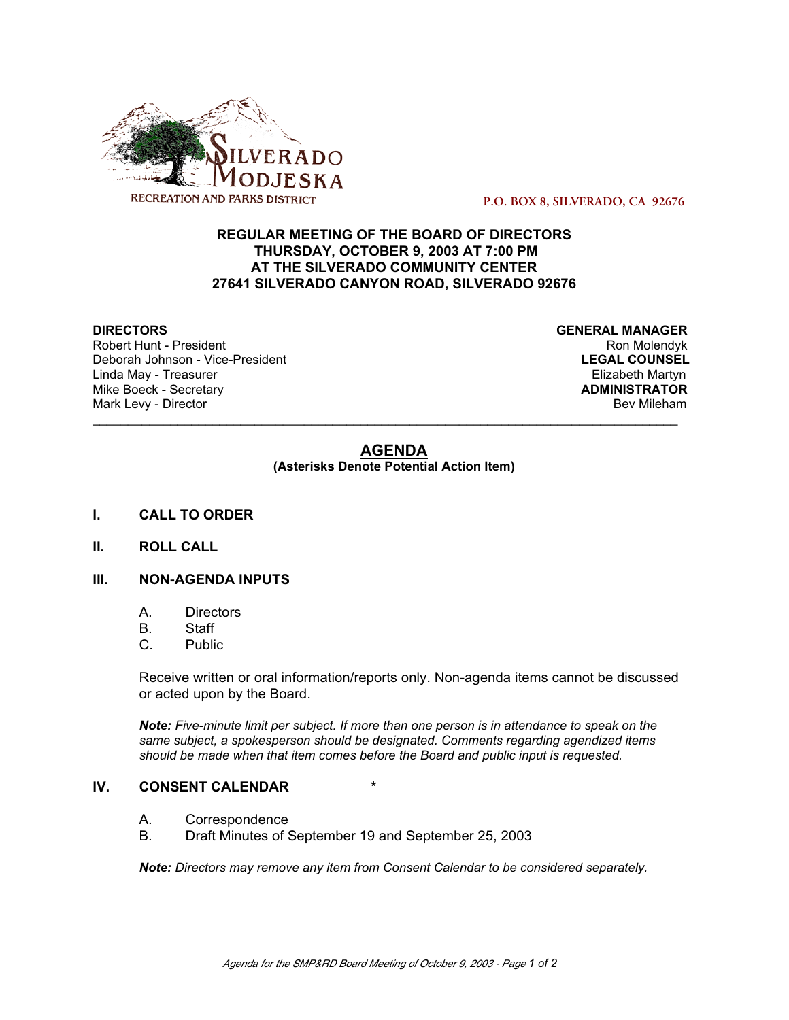

 **P.O. BOX 8, SILVERADO, CA 92676**

# **REGULAR MEETING OF THE BOARD OF DIRECTORS THURSDAY, OCTOBER 9, 2003 AT 7:00 PM AT THE SILVERADO COMMUNITY CENTER 27641 SILVERADO CANYON ROAD, SILVERADO 92676**

Robert Hunt - President Nice-President Nice-African School (Robert Hunt - President Ron Molendyk Nice-African<br>Referant Rom Molendyk (Robert Roman School (Robert Roman School (Robert Robert Roman School (Robert Roman Scho<br>R Deborah Johnson - Vice-President **LEGAL COUNSEL** Linda May - Treasurer Elizabeth Martyn<br>
Mike Boeck - Secretary **Elizabeth Martyn**<br>
Mike Boeck - Secretary **Mike Boeck - Secretary** Mark Levy - Director **Bev Mileham Mark Levy - Director** Bev Mileham

**DIRECTORS GENERAL MANAGER**

# **AGENDA**

\_\_\_\_\_\_\_\_\_\_\_\_\_\_\_\_\_\_\_\_\_\_\_\_\_\_\_\_\_\_\_\_\_\_\_\_\_\_\_\_\_\_\_\_\_\_\_\_\_\_\_\_\_\_\_\_\_\_\_\_\_\_\_\_\_\_\_\_\_\_\_\_\_\_\_\_\_\_\_\_\_\_\_

**(Asterisks Denote Potential Action Item)**

- **I. CALL TO ORDER**
- **II. ROLL CALL**

# **III. NON-AGENDA INPUTS**

- A. Directors
- B. Staff
- C. Public

Receive written or oral information/reports only. Non-agenda items cannot be discussed or acted upon by the Board.

*Note: Five-minute limit per subject. If more than one person is in attendance to speak on the same subject, a spokesperson should be designated. Comments regarding agendized items should be made when that item comes before the Board and public input is requested.*

#### **IV. CONSENT CALENDAR \***

- A. Correspondence<br>B. Draft Minutes of 9
- Draft Minutes of September 19 and September 25, 2003

*Note: Directors may remove any item from Consent Calendar to be considered separately.*